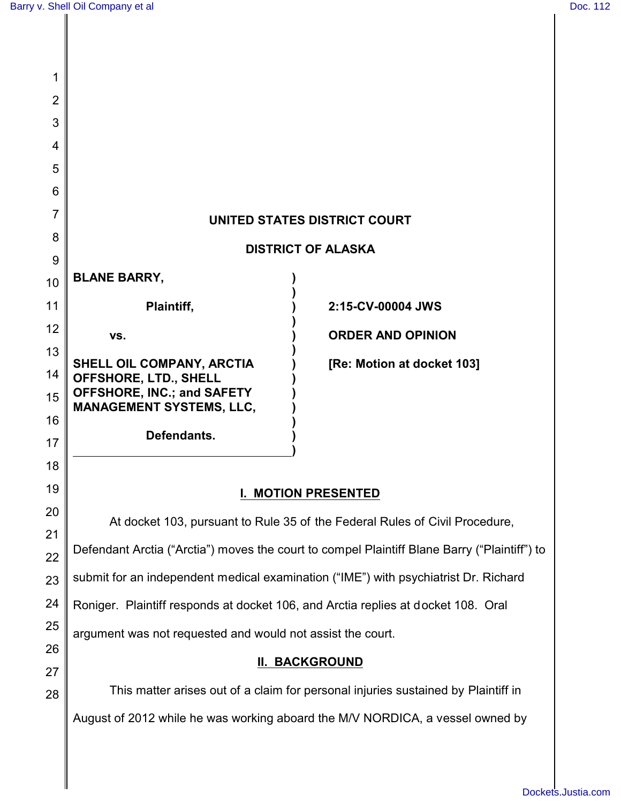| 1        |                                                                                              |                                                                               |  |  |
|----------|----------------------------------------------------------------------------------------------|-------------------------------------------------------------------------------|--|--|
| 2        |                                                                                              |                                                                               |  |  |
| 3        |                                                                                              |                                                                               |  |  |
| 4        |                                                                                              |                                                                               |  |  |
| 5        |                                                                                              |                                                                               |  |  |
| 6        |                                                                                              |                                                                               |  |  |
| 7        | UNITED STATES DISTRICT COURT                                                                 |                                                                               |  |  |
| 8        | <b>DISTRICT OF ALASKA</b>                                                                    |                                                                               |  |  |
| 9        |                                                                                              |                                                                               |  |  |
| 10       | <b>BLANE BARRY,</b>                                                                          |                                                                               |  |  |
| 11       | Plaintiff,                                                                                   | 2:15-CV-00004 JWS                                                             |  |  |
| 12       | VS.                                                                                          | <b>ORDER AND OPINION</b>                                                      |  |  |
| 13       | SHELL OIL COMPANY, ARCTIA                                                                    | [Re: Motion at docket 103]                                                    |  |  |
| 14       | OFFSHORE, LTD., SHELL<br>OFFSHORE, INC.; and SAFETY                                          |                                                                               |  |  |
| 15       | <b>MANAGEMENT SYSTEMS, LLC,</b>                                                              |                                                                               |  |  |
| 16       | Defendants.                                                                                  |                                                                               |  |  |
| 17       |                                                                                              |                                                                               |  |  |
| 18       |                                                                                              |                                                                               |  |  |
| 19<br>20 | <b>MOTION PRESENTED</b>                                                                      |                                                                               |  |  |
| 21       | At docket 103, pursuant to Rule 35 of the Federal Rules of Civil Procedure,                  |                                                                               |  |  |
| 22       | Defendant Arctia ("Arctia") moves the court to compel Plaintiff Blane Barry ("Plaintiff") to |                                                                               |  |  |
| 23       | submit for an independent medical examination ("IME") with psychiatrist Dr. Richard          |                                                                               |  |  |
| 24       | Roniger. Plaintiff responds at docket 106, and Arctia replies at docket 108. Oral            |                                                                               |  |  |
| 25       | argument was not requested and would not assist the court.                                   |                                                                               |  |  |
| 26       |                                                                                              |                                                                               |  |  |
| 27       | <b>II. BACKGROUND</b>                                                                        |                                                                               |  |  |
| 28       | This matter arises out of a claim for personal injuries sustained by Plaintiff in            |                                                                               |  |  |
|          |                                                                                              | August of 2012 while he was working aboard the M/V NORDICA, a vessel owned by |  |  |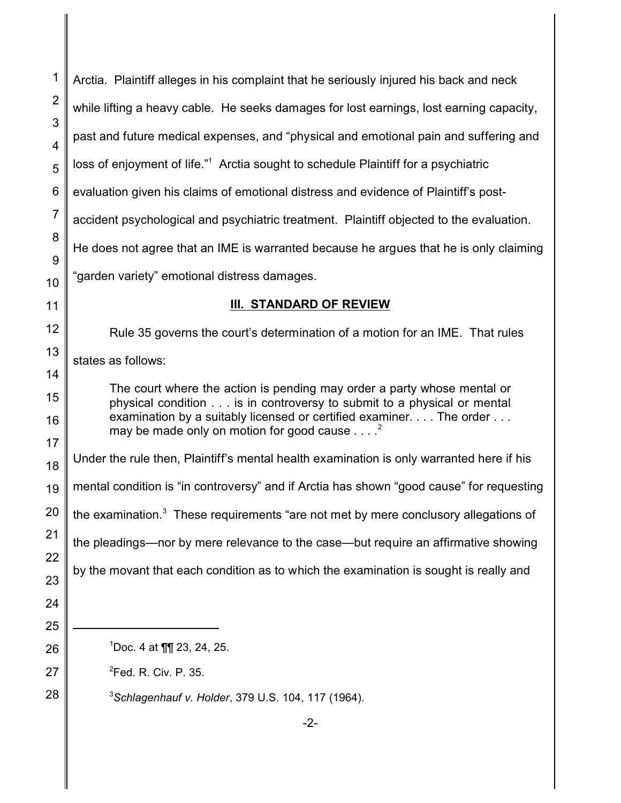| 1                   | Arctia. Plaintiff alleges in his complaint that he seriously injured his back and neck                                                                                                                                                                                          |  |  |  |
|---------------------|---------------------------------------------------------------------------------------------------------------------------------------------------------------------------------------------------------------------------------------------------------------------------------|--|--|--|
| $\overline{2}$      | while lifting a heavy cable. He seeks damages for lost earnings, lost earning capacity,                                                                                                                                                                                         |  |  |  |
| 3<br>$\overline{4}$ | past and future medical expenses, and "physical and emotional pain and suffering and                                                                                                                                                                                            |  |  |  |
| 5                   | loss of enjoyment of life." <sup>1</sup> Arctia sought to schedule Plaintiff for a psychiatric                                                                                                                                                                                  |  |  |  |
| 6                   | evaluation given his claims of emotional distress and evidence of Plaintiff's post-                                                                                                                                                                                             |  |  |  |
| $\overline{7}$      | accident psychological and psychiatric treatment. Plaintiff objected to the evaluation.                                                                                                                                                                                         |  |  |  |
| 8<br>9              | He does not agree that an IME is warranted because he argues that he is only claiming                                                                                                                                                                                           |  |  |  |
| 10                  | 'garden variety" emotional distress damages.                                                                                                                                                                                                                                    |  |  |  |
| 11                  | III. STANDARD OF REVIEW                                                                                                                                                                                                                                                         |  |  |  |
| 12                  | Rule 35 governs the court's determination of a motion for an IME. That rules                                                                                                                                                                                                    |  |  |  |
| 13                  | states as follows:                                                                                                                                                                                                                                                              |  |  |  |
| 14<br>15            | The court where the action is pending may order a party whose mental or<br>physical condition is in controversy to submit to a physical or mental<br>examination by a suitably licensed or certified examiner. The order<br>may be made only on motion for good cause $\dots$ . |  |  |  |
| 16                  |                                                                                                                                                                                                                                                                                 |  |  |  |
| 17<br>18            | Under the rule then, Plaintiff's mental health examination is only warranted here if his                                                                                                                                                                                        |  |  |  |
| 19                  | mental condition is "in controversy" and if Arctia has shown "good cause" for requesting                                                                                                                                                                                        |  |  |  |
| 20                  | the examination. <sup>3</sup> These requirements "are not met by mere conclusory allegations of                                                                                                                                                                                 |  |  |  |
| 21                  | the pleadings-nor by mere relevance to the case-but require an affirmative showing<br>by the movant that each condition as to which the examination is sought is really and                                                                                                     |  |  |  |
| 22<br>23            |                                                                                                                                                                                                                                                                                 |  |  |  |
| 24                  |                                                                                                                                                                                                                                                                                 |  |  |  |
| 25                  |                                                                                                                                                                                                                                                                                 |  |  |  |
| 26                  | $1$ Doc. 4 at ¶¶ 23, 24, 25.                                                                                                                                                                                                                                                    |  |  |  |
| 27                  | <sup>2</sup> Fed. R. Civ. P. 35.                                                                                                                                                                                                                                                |  |  |  |
| 28                  | <sup>3</sup> Schlagenhauf v. Holder, 379 U.S. 104, 117 (1964).                                                                                                                                                                                                                  |  |  |  |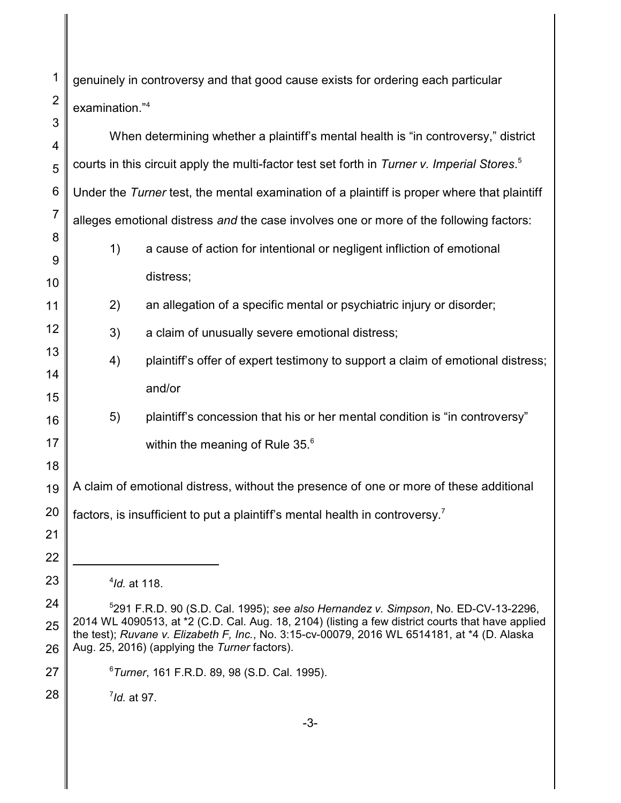genuinely in controversy and that good cause exists for ordering each particular examination."<sup>4</sup>

| 3              |                                                                                                                                                                                                   |                                                                                 |  |
|----------------|---------------------------------------------------------------------------------------------------------------------------------------------------------------------------------------------------|---------------------------------------------------------------------------------|--|
| 4              | When determining whether a plaintiff's mental health is "in controversy," district                                                                                                                |                                                                                 |  |
| 5              | courts in this circuit apply the multi-factor test set forth in Turner v. Imperial Stores. <sup>5</sup>                                                                                           |                                                                                 |  |
| 6              | Under the Turner test, the mental examination of a plaintiff is proper where that plaintiff                                                                                                       |                                                                                 |  |
| $\overline{7}$ | alleges emotional distress and the case involves one or more of the following factors:                                                                                                            |                                                                                 |  |
| 8              | 1)                                                                                                                                                                                                | a cause of action for intentional or negligent infliction of emotional          |  |
| 9              |                                                                                                                                                                                                   | distress;                                                                       |  |
| 10             |                                                                                                                                                                                                   |                                                                                 |  |
| 11             | 2)                                                                                                                                                                                                | an allegation of a specific mental or psychiatric injury or disorder;           |  |
| 12             | 3)                                                                                                                                                                                                | a claim of unusually severe emotional distress;                                 |  |
| 13             | 4)                                                                                                                                                                                                | plaintiff's offer of expert testimony to support a claim of emotional distress; |  |
| 14             |                                                                                                                                                                                                   | and/or                                                                          |  |
| 15             |                                                                                                                                                                                                   |                                                                                 |  |
| 16             | 5)                                                                                                                                                                                                | plaintiff's concession that his or her mental condition is "in controversy"     |  |
| 17             |                                                                                                                                                                                                   | within the meaning of Rule 35. <sup>6</sup>                                     |  |
| 18             |                                                                                                                                                                                                   |                                                                                 |  |
| 19             | A claim of emotional distress, without the presence of one or more of these additional                                                                                                            |                                                                                 |  |
| 20             | factors, is insufficient to put a plaintiff's mental health in controversy. <sup>7</sup>                                                                                                          |                                                                                 |  |
| 21             |                                                                                                                                                                                                   |                                                                                 |  |
| 22             |                                                                                                                                                                                                   |                                                                                 |  |
| 23             | $4$ Id. at 118.                                                                                                                                                                                   |                                                                                 |  |
| 24             | $5291$ F.R.D. 90 (S.D. Cal. 1995); see also Hernandez v. Simpson, No. ED-CV-13-2296,                                                                                                              |                                                                                 |  |
| 25             | 2014 WL 4090513, at *2 (C.D. Cal. Aug. 18, 2104) (listing a few district courts that have applied<br>the test); Ruvane v. Elizabeth F, Inc., No. 3:15-cv-00079, 2016 WL 6514181, at *4 (D. Alaska |                                                                                 |  |
| 26             | Aug. 25, 2016) (applying the Turner factors).                                                                                                                                                     |                                                                                 |  |
| 27             | <sup>6</sup> Turner, 161 F.R.D. 89, 98 (S.D. Cal. 1995).                                                                                                                                          |                                                                                 |  |
| 28             | $7$ Id. at 97.                                                                                                                                                                                    |                                                                                 |  |
|                |                                                                                                                                                                                                   |                                                                                 |  |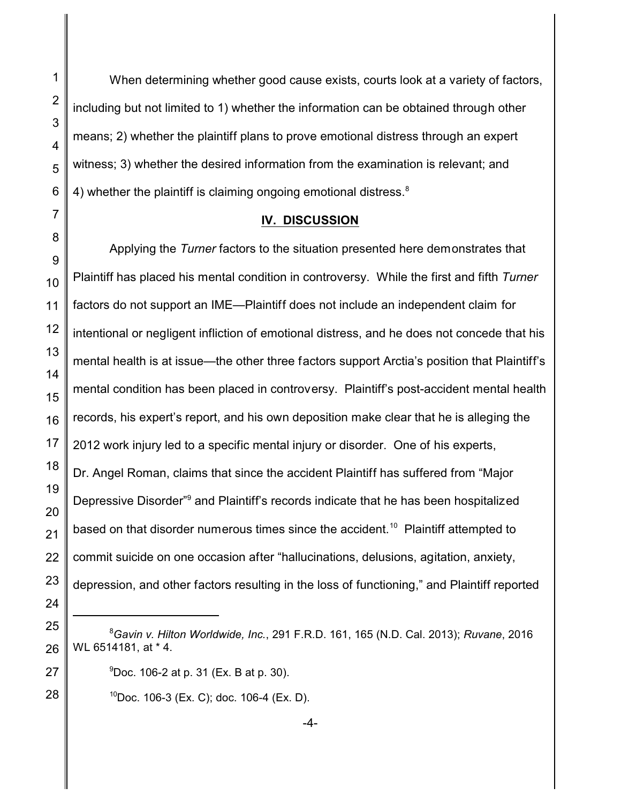When determining whether good cause exists, courts look at a variety of factors, including but not limited to 1) whether the information can be obtained through other means; 2) whether the plaintiff plans to prove emotional distress through an expert witness; 3) whether the desired information from the examination is relevant; and 4) whether the plaintiff is claiming ongoing emotional distress.<sup>8</sup>

## **IV. DISCUSSION**

Applying the *Turner* factors to the situation presented here demonstrates that Plaintiff has placed his mental condition in controversy. While the first and fifth *Turner* factors do not support an IME—Plaintiff does not include an independent claim for intentional or negligent infliction of emotional distress, and he does not concede that his mental health is at issue—the other three factors support Arctia's position that Plaintiff's mental condition has been placed in controversy. Plaintiff's post-accident mental health records, his expert's report, and his own deposition make clear that he is alleging the 2012 work injury led to a specific mental injury or disorder. One of his experts, Dr. Angel Roman, claims that since the accident Plaintiff has suffered from "Major Depressive Disorder"<sup>9</sup> and Plaintiff's records indicate that he has been hospitalized based on that disorder numerous times since the accident.<sup>10</sup> Plaintiff attempted to commit suicide on one occasion after "hallucinations, delusions, agitation, anxiety, depression, and other factors resulting in the loss of functioning," and Plaintiff reported

 $10Doc.$  106-3 (Ex. C); doc. 106-4 (Ex. D).

<sup>8</sup>*Gavin v. Hilton Worldwide, Inc.*, 291 F.R.D. 161, 165 (N.D. Cal. 2013); *Ruvane*, 2016 WL 6514181, at \* 4.

 $^{9}$ Doc. 106-2 at p. 31 (Ex. B at p. 30).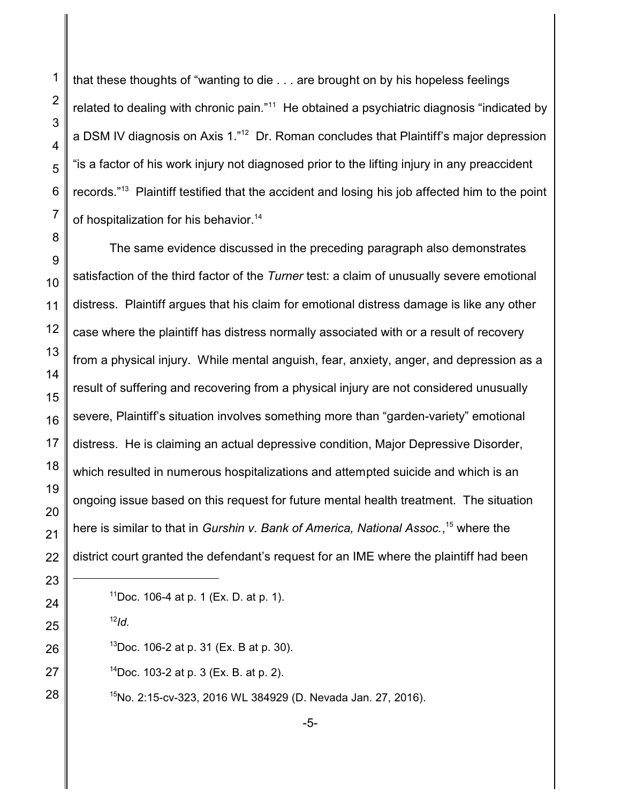that these thoughts of "wanting to die . . . are brought on by his hopeless feelings related to dealing with chronic pain."<sup>11</sup> He obtained a psychiatric diagnosis "indicated by a DSM IV diagnosis on Axis 1."<sup>12</sup> Dr. Roman concludes that Plaintiff's major depression "is a factor of his work injury not diagnosed prior to the lifting injury in any preaccident records."<sup>13</sup> Plaintiff testified that the accident and losing his job affected him to the point of hospitalization for his behavior.<sup>14</sup>

The same evidence discussed in the preceding paragraph also demonstrates satisfaction of the third factor of the *Turner* test: a claim of unusually severe emotional distress. Plaintiff argues that his claim for emotional distress damage is like any other case where the plaintiff has distress normally associated with or a result of recovery from a physical injury. While mental anguish, fear, anxiety, anger, and depression as a result of suffering and recovering from a physical injury are not considered unusually severe, Plaintiff's situation involves something more than "garden-variety" emotional distress. He is claiming an actual depressive condition, Major Depressive Disorder, which resulted in numerous hospitalizations and attempted suicide and which is an ongoing issue based on this request for future mental health treatment. The situation here is similar to that in *Gurshin v. Bank of America, National Assoc.*,<sup>15</sup> where the district court granted the defendant's request for an IME where the plaintiff had been

- *Id.*
- Doc. 106-2 at p. 31 (Ex. B at p. 30).
- Doc. 103-2 at p. 3 (Ex. B. at p. 2).
	- No. 2:15-cv-323, 2016 WL 384929 (D. Nevada Jan. 27, 2016).

Doc. 106-4 at p. 1 (Ex. D. at p. 1).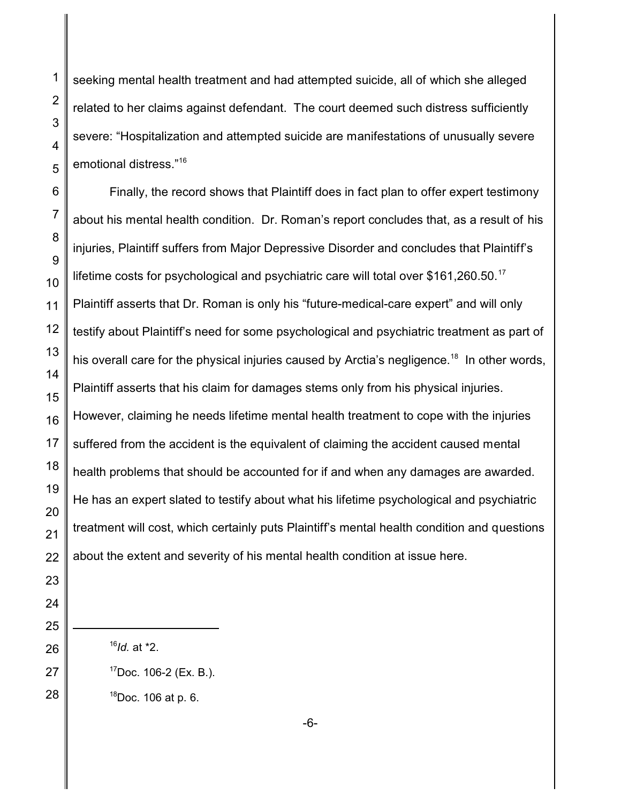seeking mental health treatment and had attempted suicide, all of which she alleged related to her claims against defendant. The court deemed such distress sufficiently severe: "Hospitalization and attempted suicide are manifestations of unusually severe emotional distress."<sup>16</sup>

Finally, the record shows that Plaintiff does in fact plan to offer expert testimony about his mental health condition. Dr. Roman's report concludes that, as a result of his injuries, Plaintiff suffers from Major Depressive Disorder and concludes that Plaintiff's lifetime costs for psychological and psychiatric care will total over  $$161,260.50$ .<sup>17</sup> Plaintiff asserts that Dr. Roman is only his "future-medical-care expert" and will only testify about Plaintiff's need for some psychological and psychiatric treatment as part of his overall care for the physical injuries caused by Arctia's negligence.<sup>18</sup> In other words, Plaintiff asserts that his claim for damages stems only from his physical injuries. However, claiming he needs lifetime mental health treatment to cope with the injuries suffered from the accident is the equivalent of claiming the accident caused mental health problems that should be accounted for if and when any damages are awarded. He has an expert slated to testify about what his lifetime psychological and psychiatric treatment will cost, which certainly puts Plaintiff's mental health condition and questions about the extent and severity of his mental health condition at issue here.

- *Id.* at \*2.
- Doc. 106-2 (Ex. B.).

Doc. 106 at p. 6.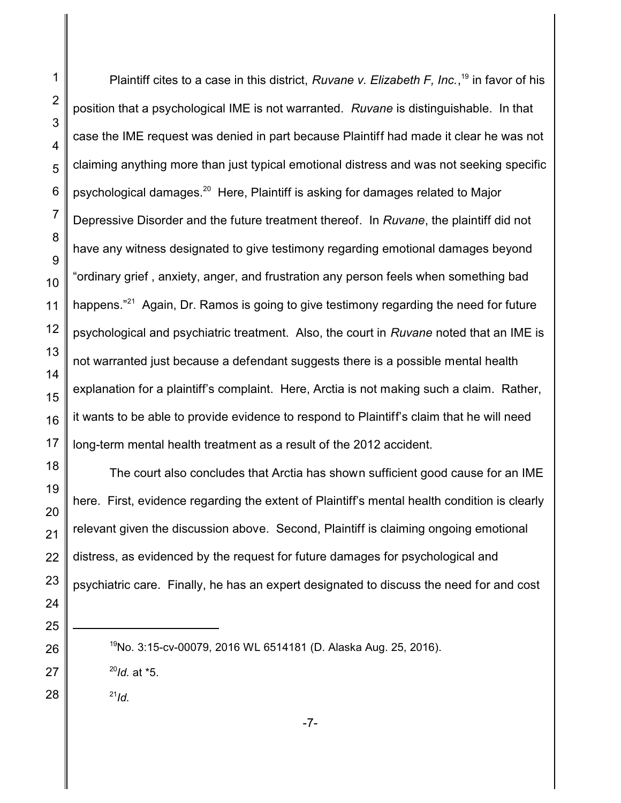Plaintiff cites to a case in this district, *Ruvane v. Elizabeth F, Inc.*, <sup>19</sup> in favor of his position that a psychological IME is not warranted. *Ruvane* is distinguishable. In that case the IME request was denied in part because Plaintiff had made it clear he was not claiming anything more than just typical emotional distress and was not seeking specific psychological damages. $^{20}\,$  Here, Plaintiff is asking for damages related to Major Depressive Disorder and the future treatment thereof. In *Ruvane*, the plaintiff did not have any witness designated to give testimony regarding emotional damages beyond "ordinary grief , anxiety, anger, and frustration any person feels when something bad happens."<sup>21</sup> Again, Dr. Ramos is going to give testimony regarding the need for future psychological and psychiatric treatment. Also, the court in *Ruvane* noted that an IME is not warranted just because a defendant suggests there is a possible mental health explanation for a plaintiff's complaint. Here, Arctia is not making such a claim. Rather, it wants to be able to provide evidence to respond to Plaintiff's claim that he will need long-term mental health treatment as a result of the 2012 accident. The court also concludes that Arctia has shown sufficient good cause for an IME here. First, evidence regarding the extent of Plaintiff's mental health condition is clearly relevant given the discussion above. Second, Plaintiff is claiming ongoing emotional distress, as evidenced by the request for future damages for psychological and psychiatric care. Finally, he has an expert designated to discuss the need for and cost

No. 3:15-cv-00079, 2016 WL 6514181 (D. Alaska Aug. 25, 2016).

*Id.* at \*5.

*Id.*

-7-